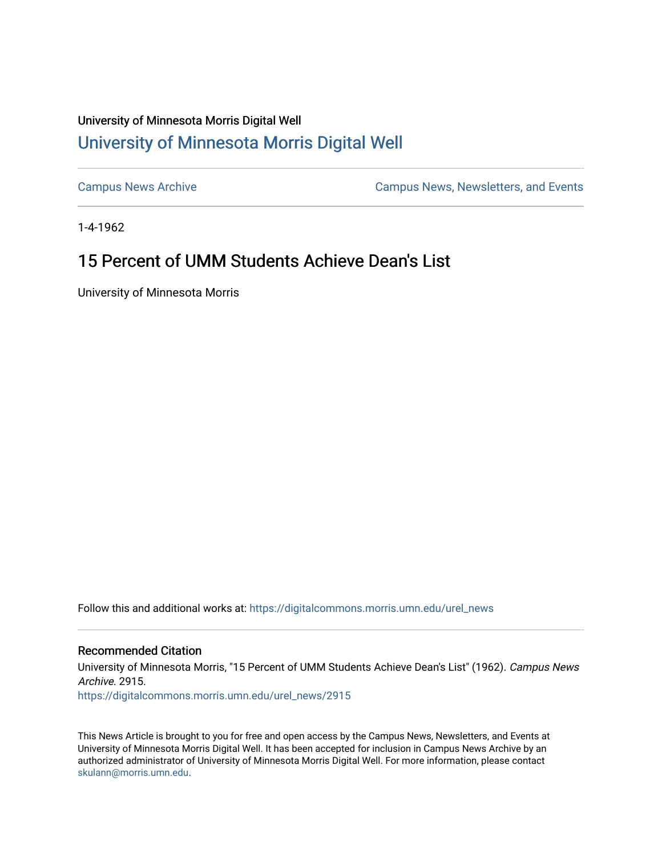## University of Minnesota Morris Digital Well [University of Minnesota Morris Digital Well](https://digitalcommons.morris.umn.edu/)

[Campus News Archive](https://digitalcommons.morris.umn.edu/urel_news) [Campus News, Newsletters, and Events](https://digitalcommons.morris.umn.edu/externalrel) 

1-4-1962

# 15 Percent of UMM Students Achieve Dean's List

University of Minnesota Morris

Follow this and additional works at: [https://digitalcommons.morris.umn.edu/urel\\_news](https://digitalcommons.morris.umn.edu/urel_news?utm_source=digitalcommons.morris.umn.edu%2Furel_news%2F2915&utm_medium=PDF&utm_campaign=PDFCoverPages) 

## Recommended Citation

University of Minnesota Morris, "15 Percent of UMM Students Achieve Dean's List" (1962). Campus News Archive. 2915.

[https://digitalcommons.morris.umn.edu/urel\\_news/2915](https://digitalcommons.morris.umn.edu/urel_news/2915?utm_source=digitalcommons.morris.umn.edu%2Furel_news%2F2915&utm_medium=PDF&utm_campaign=PDFCoverPages) 

This News Article is brought to you for free and open access by the Campus News, Newsletters, and Events at University of Minnesota Morris Digital Well. It has been accepted for inclusion in Campus News Archive by an authorized administrator of University of Minnesota Morris Digital Well. For more information, please contact [skulann@morris.umn.edu.](mailto:skulann@morris.umn.edu)